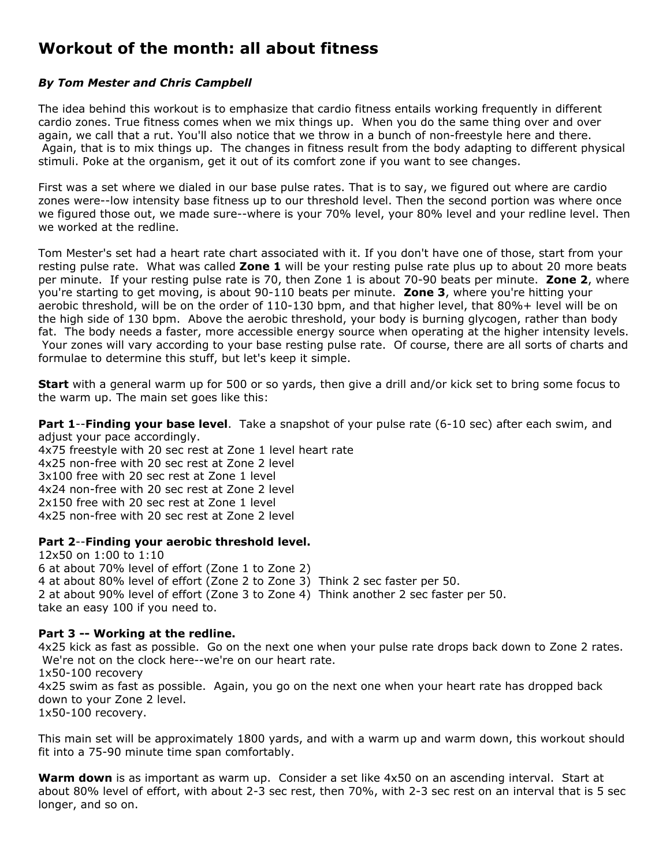## **Workout of the month: all about fitness**

## *By Tom Mester and Chris Campbell*

The idea behind this workout is to emphasize that cardio fitness entails working frequently in different cardio zones. True fitness comes when we mix things up. When you do the same thing over and over again, we call that a rut. You'll also notice that we throw in a bunch of non-freestyle here and there. Again, that is to mix things up. The changes in fitness result from the body adapting to different physical stimuli. Poke at the organism, get it out of its comfort zone if you want to see changes.

First was a set where we dialed in our base pulse rates. That is to say, we figured out where are cardio zones were--low intensity base fitness up to our threshold level. Then the second portion was where once we figured those out, we made sure--where is your 70% level, your 80% level and your redline level. Then we worked at the redline.

Tom Mester's set had a heart rate chart associated with it. If you don't have one of those, start from your resting pulse rate. What was called **Zone 1** will be your resting pulse rate plus up to about 20 more beats per minute. If your resting pulse rate is 70, then Zone 1 is about 70-90 beats per minute. **Zone 2**, where you're starting to get moving, is about 90-110 beats per minute. **Zone 3**, where you're hitting your aerobic threshold, will be on the order of 110-130 bpm, and that higher level, that 80%+ level will be on the high side of 130 bpm. Above the aerobic threshold, your body is burning glycogen, rather than body fat. The body needs a faster, more accessible energy source when operating at the higher intensity levels. Your zones will vary according to your base resting pulse rate. Of course, there are all sorts of charts and formulae to determine this stuff, but let's keep it simple.

**Start** with a general warm up for 500 or so yards, then give a drill and/or kick set to bring some focus to the warm up. The main set goes like this:

**Part 1**--**Finding your base level**. Take a snapshot of your pulse rate (6-10 sec) after each swim, and adjust your pace accordingly.

4x75 freestyle with 20 sec rest at Zone 1 level heart rate 4x25 non-free with 20 sec rest at Zone 2 level 3x100 free with 20 sec rest at Zone 1 level 4x24 non-free with 20 sec rest at Zone 2 level 2x150 free with 20 sec rest at Zone 1 level 4x25 non-free with 20 sec rest at Zone 2 level

## **Part 2**--**Finding your aerobic threshold level.**

12x50 on 1:00 to 1:10 6 at about 70% level of effort (Zone 1 to Zone 2) 4 at about 80% level of effort (Zone 2 to Zone 3) Think 2 sec faster per 50. 2 at about 90% level of effort (Zone 3 to Zone 4) Think another 2 sec faster per 50. take an easy 100 if you need to.

## **Part 3 -- Working at the redline.**

4x25 kick as fast as possible. Go on the next one when your pulse rate drops back down to Zone 2 rates. We're not on the clock here--we're on our heart rate. 1x50-100 recovery 4x25 swim as fast as possible. Again, you go on the next one when your heart rate has dropped back down to your Zone 2 level. 1x50-100 recovery.

This main set will be approximately 1800 yards, and with a warm up and warm down, this workout should fit into a 75-90 minute time span comfortably.

**Warm down** is as important as warm up. Consider a set like 4x50 on an ascending interval. Start at about 80% level of effort, with about 2-3 sec rest, then 70%, with 2-3 sec rest on an interval that is 5 sec longer, and so on.